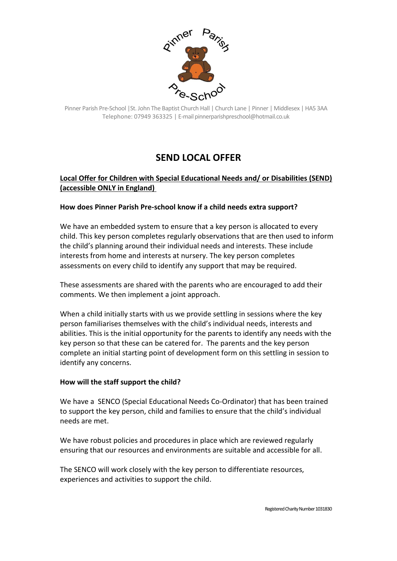

Pinner Parish Pre-School |St. John The Baptist Church Hall | Church Lane | Pinner | Middlesex | HA5 3AA Telephone: 07949 363325 | E-mail pinnerparishpreschool@hotmail.co.uk

# **SEND LOCAL OFFER**

## **Local Offer for Children with Special Educational Needs and/ or Disabilities (SEND) (accessible ONLY in England)**

## **How does Pinner Parish Pre-school know if a child needs extra support?**

We have an embedded system to ensure that a key person is allocated to every child. This key person completes regularly observations that are then used to inform the child's planning around their individual needs and interests. These include interests from home and interests at nursery. The key person completes assessments on every child to identify any support that may be required.

These assessments are shared with the parents who are encouraged to add their comments. We then implement a joint approach.

When a child initially starts with us we provide settling in sessions where the key person familiarises themselves with the child's individual needs, interests and abilities. This is the initial opportunity for the parents to identify any needs with the key person so that these can be catered for. The parents and the key person complete an initial starting point of development form on this settling in session to identify any concerns.

## **How will the staff support the child?**

We have a SENCO (Special Educational Needs Co-Ordinator) that has been trained to support the key person, child and families to ensure that the child's individual needs are met.

We have robust policies and procedures in place which are reviewed regularly ensuring that our resources and environments are suitable and accessible for all.

The SENCO will work closely with the key person to differentiate resources, experiences and activities to support the child.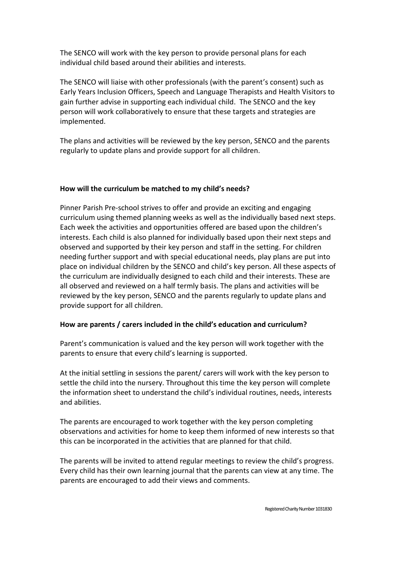The SENCO will work with the key person to provide personal plans for each individual child based around their abilities and interests.

The SENCO will liaise with other professionals (with the parent's consent) such as Early Years Inclusion Officers, Speech and Language Therapists and Health Visitors to gain further advise in supporting each individual child. The SENCO and the key person will work collaboratively to ensure that these targets and strategies are implemented.

The plans and activities will be reviewed by the key person, SENCO and the parents regularly to update plans and provide support for all children.

## **How will the curriculum be matched to my child's needs?**

Pinner Parish Pre-school strives to offer and provide an exciting and engaging curriculum using themed planning weeks as well as the individually based next steps. Each week the activities and opportunities offered are based upon the children's interests. Each child is also planned for individually based upon their next steps and observed and supported by their key person and staff in the setting. For children needing further support and with special educational needs, play plans are put into place on individual children by the SENCO and child's key person. All these aspects of the curriculum are individually designed to each child and their interests. These are all observed and reviewed on a half termly basis. The plans and activities will be reviewed by the key person, SENCO and the parents regularly to update plans and provide support for all children.

## **How are parents / carers included in the child's education and curriculum?**

Parent's communication is valued and the key person will work together with the parents to ensure that every child's learning is supported.

At the initial settling in sessions the parent/ carers will work with the key person to settle the child into the nursery. Throughout this time the key person will complete the information sheet to understand the child's individual routines, needs, interests and abilities.

The parents are encouraged to work together with the key person completing observations and activities for home to keep them informed of new interests so that this can be incorporated in the activities that are planned for that child.

The parents will be invited to attend regular meetings to review the child's progress. Every child has their own learning journal that the parents can view at any time. The parents are encouraged to add their views and comments.